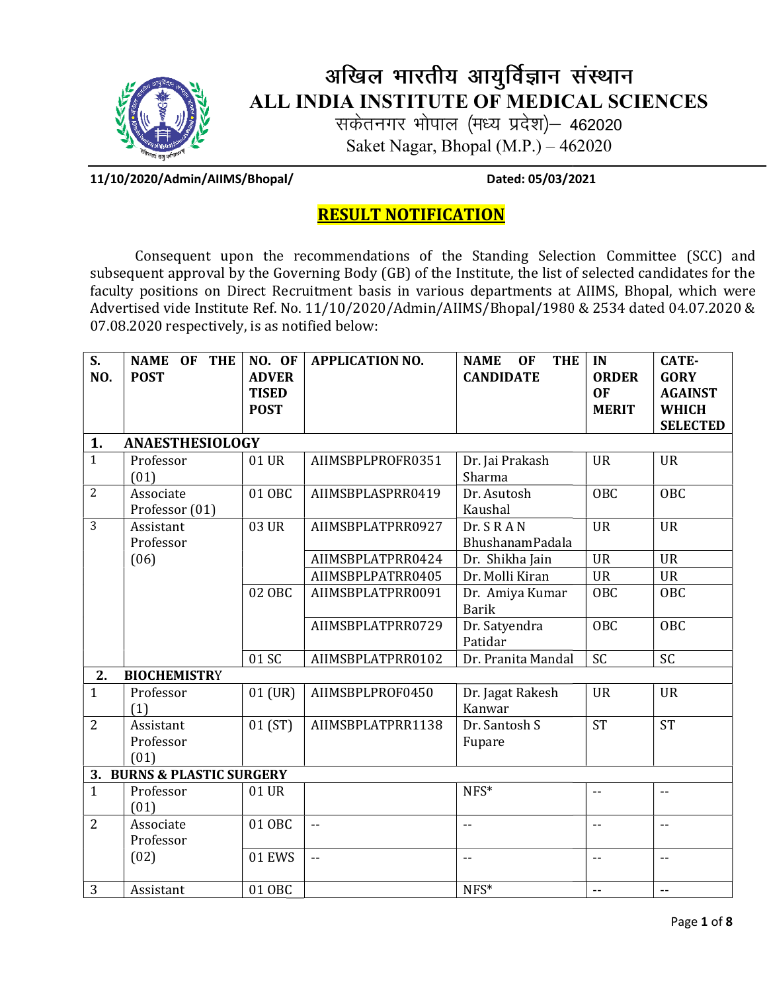

## अखिल भारतीय आयुर्विज्ञान संस्थान ALL INDIA INSTITUTE OF MEDICAL SCIENCES MEDICAL SCIENCES

सकेतनगर भोपाल (मध्य प्रदेश)— 462020 Saket Nagar, Bhopal (M.P.) – 462020

11/10/2020/Admin/AIIMS/Bhopal/ 11/10/2020/Admin/AIIMS/Bhopal/ Dated: 05/03/2021

Dated: 05/03/2021

## RESULT NOTIFICATION

Consequent upon the recommendations of the Standing Selection Committee (SCC) and subsequent approval by the Governing Body (GB) of the Institute, the list of selected candidates for the subsequent approval by the Governing Body (GB) of the Institute, the list of selected candidates for the<br>faculty positions on Direct Recruitment basis in various departments at AIIMS, Bhopal, which were Advertised vide Institute Ref. No. 11/10/2020/Admin/AIIMS/Bhopal/1980 & 2534 dated 04.07.2020 &<br>07.08.2020 respectively, is as notified below: 07.08.2020 respectively, is as notified below

| S.             | <b>NAME</b><br>OF THE      | NO. OF        | <b>APPLICATION NO.</b>  | <b>NAME</b><br><b>THE</b><br><b>OF</b> | IN                       | <b>CATE-</b>             |  |  |  |  |
|----------------|----------------------------|---------------|-------------------------|----------------------------------------|--------------------------|--------------------------|--|--|--|--|
| NO.            | <b>POST</b>                | <b>ADVER</b>  |                         | <b>CANDIDATE</b>                       | <b>ORDER</b>             | <b>GORY</b>              |  |  |  |  |
|                |                            | <b>TISED</b>  |                         |                                        | <b>OF</b>                | <b>AGAINST</b>           |  |  |  |  |
|                |                            | <b>POST</b>   |                         |                                        | <b>MERIT</b>             | <b>WHICH</b>             |  |  |  |  |
|                |                            |               |                         |                                        |                          | <b>SELECTED</b>          |  |  |  |  |
| 1.             | <b>ANAESTHESIOLOGY</b>     |               |                         |                                        |                          |                          |  |  |  |  |
| $\mathbf{1}$   | Professor                  | 01 UR         | AIIMSBPLPROFR0351       | Dr. Jai Prakash                        | <b>UR</b>                | <b>UR</b>                |  |  |  |  |
|                | (01)                       |               |                         | Sharma                                 |                          |                          |  |  |  |  |
| $\overline{2}$ | Associate                  | 01 OBC        | AIIMSBPLASPRR0419       | Dr. Asutosh                            | <b>OBC</b>               | OBC                      |  |  |  |  |
|                | Professor (01)             |               |                         | Kaushal                                |                          |                          |  |  |  |  |
| 3              | Assistant                  | 03 UR         | AIIMSBPLATPRR0927       | Dr. SRAN                               | <b>UR</b>                | <b>UR</b>                |  |  |  |  |
|                | Professor                  |               |                         | <b>BhushanamPadala</b>                 |                          |                          |  |  |  |  |
|                | (06)                       |               | AIIMSBPLATPRR0424       | Dr. Shikha Jain                        | <b>UR</b>                | <b>UR</b>                |  |  |  |  |
|                |                            |               | AIIMSBPLPATRR0405       | Dr. Molli Kiran                        | <b>UR</b>                | <b>UR</b>                |  |  |  |  |
|                |                            | 02 OBC        | AIIMSBPLATPRR0091       | Dr. Amiya Kumar                        | <b>OBC</b>               | <b>OBC</b>               |  |  |  |  |
|                |                            |               |                         | <b>Barik</b>                           |                          |                          |  |  |  |  |
|                |                            |               | AIIMSBPLATPRR0729       | Dr. Satyendra                          | <b>OBC</b>               | OBC                      |  |  |  |  |
|                |                            |               |                         | Patidar                                |                          |                          |  |  |  |  |
|                |                            | 01 SC         | AIIMSBPLATPRR0102       | Dr. Pranita Mandal                     | SC                       | <b>SC</b>                |  |  |  |  |
| 2.             | <b>BIOCHEMISTRY</b>        |               |                         |                                        |                          |                          |  |  |  |  |
| $\mathbf{1}$   | Professor                  | $01$ (UR)     | AIIMSBPLPROF0450        | Dr. Jagat Rakesh                       | <b>UR</b>                | <b>UR</b>                |  |  |  |  |
|                | (1)                        |               |                         | Kanwar                                 |                          |                          |  |  |  |  |
| $\overline{2}$ | Assistant                  | 01(ST)        | AIIMSBPLATPRR1138       | Dr. Santosh S                          | <b>ST</b>                | ST                       |  |  |  |  |
|                | Professor                  |               |                         | Fupare                                 |                          |                          |  |  |  |  |
|                | (01)                       |               |                         |                                        |                          |                          |  |  |  |  |
|                | 3. BURNS & PLASTIC SURGERY |               |                         |                                        |                          |                          |  |  |  |  |
| $\mathbf{1}$   | Professor                  | 01 UR         |                         | NFS*                                   |                          | $-$                      |  |  |  |  |
|                | (01)                       |               |                         |                                        |                          |                          |  |  |  |  |
| $\overline{2}$ | Associate                  | 01 OBC        | $\sim$ $\sim$           | $-$                                    | $\overline{\phantom{a}}$ | $\overline{\phantom{a}}$ |  |  |  |  |
|                | Professor                  |               |                         |                                        |                          |                          |  |  |  |  |
|                | (02)                       | <b>01 EWS</b> | $\mathbb{L} \mathbb{L}$ | $-$                                    | $-$                      | $-$                      |  |  |  |  |
|                |                            |               |                         |                                        |                          |                          |  |  |  |  |
| 3              | Assistant                  | 01 OBC        |                         | NFS*                                   | $-$                      | $\sim$ $\sim$            |  |  |  |  |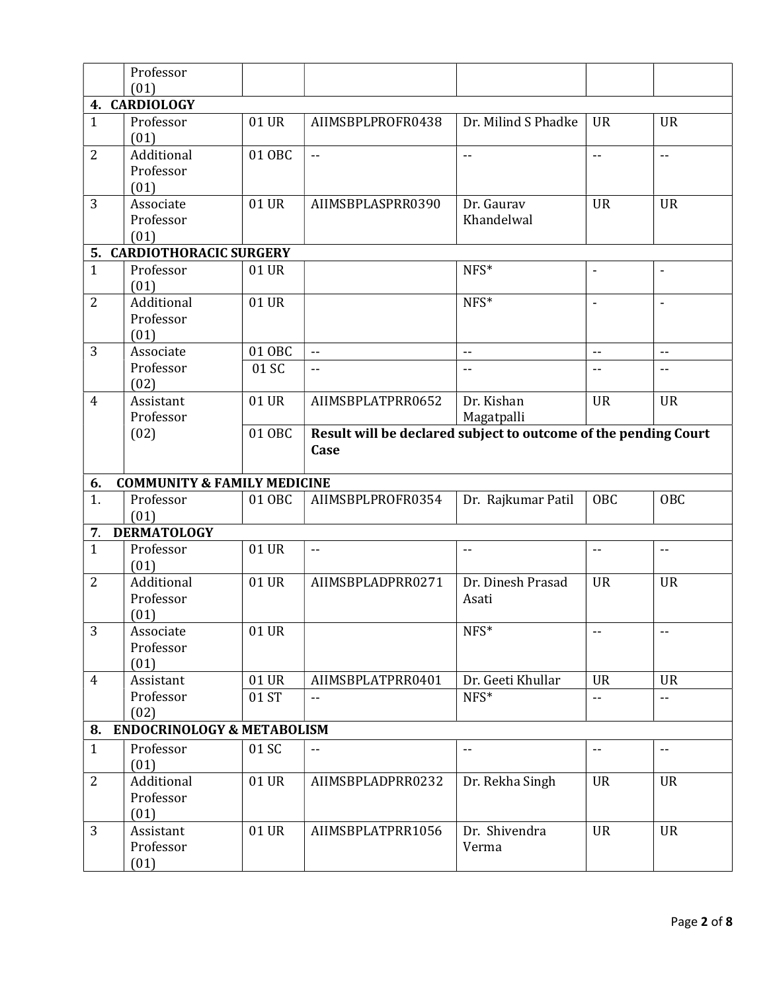|                    | Professor                              |        |                                                                 |                            |                          |                          |
|--------------------|----------------------------------------|--------|-----------------------------------------------------------------|----------------------------|--------------------------|--------------------------|
|                    | (01)                                   |        |                                                                 |                            |                          |                          |
|                    | 4. CARDIOLOGY                          |        |                                                                 |                            |                          |                          |
| $\mathbf{1}$       | Professor                              | 01 UR  | AIIMSBPLPROFR0438                                               | Dr. Milind S Phadke        | <b>UR</b>                | <b>UR</b>                |
|                    | (01)                                   |        |                                                                 |                            |                          |                          |
| $\overline{2}$     | Additional                             | 01 OBC | $\sim$ $\sim$                                                   | $\overline{\phantom{a}}$ . | $- -$                    | $\overline{\phantom{a}}$ |
|                    | Professor                              |        |                                                                 |                            |                          |                          |
|                    | (01)                                   |        |                                                                 |                            |                          |                          |
| 3                  | Associate                              | 01 UR  | AIIMSBPLASPRR0390                                               | Dr. Gaurav                 | <b>UR</b>                | <b>UR</b>                |
|                    | Professor                              |        |                                                                 | Khandelwal                 |                          |                          |
|                    | (01)                                   |        |                                                                 |                            |                          |                          |
|                    | <b>5. CARDIOTHORACIC SURGERY</b>       |        |                                                                 |                            |                          |                          |
| $\mathbf{1}$       | Professor                              | 01 UR  |                                                                 | NFS*                       |                          |                          |
|                    | (01)                                   |        |                                                                 |                            |                          |                          |
| $\overline{2}$     | Additional                             | 01 UR  |                                                                 | NFS*                       | $\overline{\phantom{a}}$ | ÷,                       |
|                    | Professor                              |        |                                                                 |                            |                          |                          |
|                    | (01)                                   |        |                                                                 |                            |                          |                          |
| 3                  | Associate                              | 01 OBC | $\sim$ $\sim$                                                   | $\overline{\phantom{a}}$ . | $\overline{\phantom{a}}$ | $\overline{a}$           |
|                    | Professor                              | 01 SC  | $- -$                                                           | $-$                        | $-$                      | --                       |
|                    | (02)                                   |        |                                                                 |                            |                          |                          |
| $\overline{4}$     | Assistant                              | 01 UR  | AIIMSBPLATPRR0652                                               | Dr. Kishan                 | <b>UR</b>                | <b>UR</b>                |
|                    | Professor                              |        |                                                                 | Magatpalli                 |                          |                          |
|                    | (02)                                   | 01 OBC | Result will be declared subject to outcome of the pending Court |                            |                          |                          |
|                    |                                        |        | Case                                                            |                            |                          |                          |
|                    |                                        |        |                                                                 |                            |                          |                          |
|                    |                                        |        |                                                                 |                            |                          |                          |
| 6.                 | <b>COMMUNITY &amp; FAMILY MEDICINE</b> |        |                                                                 |                            |                          |                          |
| 1.                 | Professor                              | 01 OBC | AIIMSBPLPROFR0354                                               | Dr. Rajkumar Patil         | OBC                      | OBC                      |
|                    | (01)                                   |        |                                                                 |                            |                          |                          |
| 7.<br>$\mathbf{1}$ | <b>DERMATOLOGY</b>                     |        | $-$                                                             | $\overline{\phantom{m}}$   | --                       | $\overline{\phantom{a}}$ |
|                    | Professor<br>(01)                      | 01 UR  |                                                                 |                            |                          |                          |
| $\overline{2}$     | Additional                             | 01 UR  | AIIMSBPLADPRR0271                                               | Dr. Dinesh Prasad          | <b>UR</b>                | <b>UR</b>                |
|                    | Professor                              |        |                                                                 | Asati                      |                          |                          |
|                    | (01)                                   |        |                                                                 |                            |                          |                          |
| 3                  | Associate                              | 01 UR  |                                                                 | $NFS*$                     |                          | $-$                      |
|                    | Professor                              |        |                                                                 |                            |                          |                          |
|                    | (01)                                   |        |                                                                 |                            |                          |                          |
| $\overline{4}$     | Assistant                              | 01 UR  | AIIMSBPLATPRR0401                                               | Dr. Geeti Khullar          | <b>UR</b>                | <b>UR</b>                |
|                    | Professor                              | 01 ST  |                                                                 | NFS*                       | $-1$                     | --                       |
|                    | (02)                                   |        |                                                                 |                            |                          |                          |
| 8.                 | <b>ENDOCRINOLOGY &amp; METABOLISM</b>  |        |                                                                 |                            |                          |                          |
| $\mathbf{1}$       | Professor                              | 01 SC  | --                                                              | $\overline{\phantom{a}}$   | $- -$                    | --                       |
|                    | (01)                                   |        |                                                                 |                            |                          |                          |
| $\overline{2}$     | Additional                             | 01 UR  | AIIMSBPLADPRR0232                                               | Dr. Rekha Singh            | <b>UR</b>                | <b>UR</b>                |
|                    | Professor                              |        |                                                                 |                            |                          |                          |
|                    | (01)                                   |        |                                                                 |                            |                          |                          |
| 3                  | Assistant                              | 01 UR  | AIIMSBPLATPRR1056                                               | Dr. Shivendra              | <b>UR</b>                | <b>UR</b>                |
|                    | Professor<br>(01)                      |        |                                                                 | Verma                      |                          |                          |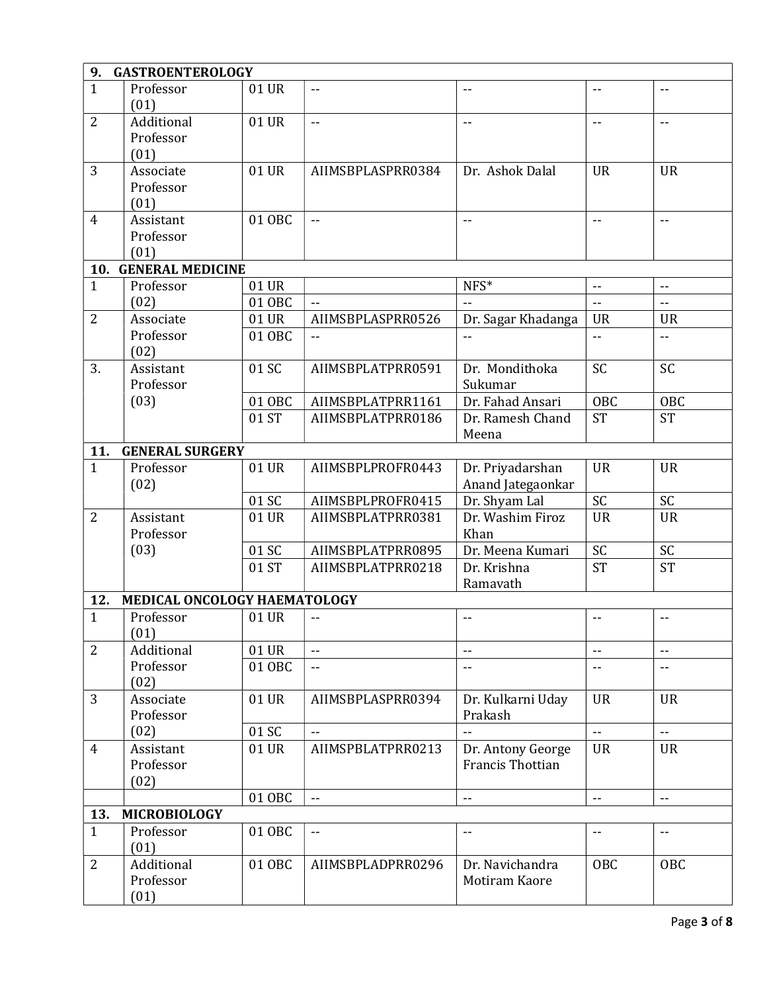| 9.                  | <b>GASTROENTEROLOGY</b>      |        |                          |                          |                          |                            |  |  |
|---------------------|------------------------------|--------|--------------------------|--------------------------|--------------------------|----------------------------|--|--|
| $\mathbf{1}$        | Professor                    | 01 UR  | $- -$                    | --                       | $-$                      | $\overline{\phantom{a}}$ . |  |  |
|                     | (01)                         |        |                          |                          |                          |                            |  |  |
| $\overline{2}$      | Additional                   | 01 UR  | $-1$                     | $-$                      | $-$                      | $\overline{\phantom{a}}$ . |  |  |
|                     | Professor                    |        |                          |                          |                          |                            |  |  |
|                     | (01)                         |        |                          |                          |                          |                            |  |  |
| 3                   | Associate                    | 01 UR  | AIIMSBPLASPRR0384        | Dr. Ashok Dalal          | <b>UR</b>                | <b>UR</b>                  |  |  |
|                     | Professor                    |        |                          |                          |                          |                            |  |  |
|                     | (01)                         |        |                          |                          |                          |                            |  |  |
| $\overline{4}$      | Assistant                    | 01 OBC | $-1$                     | $-$                      | $-$                      | $\overline{a}$             |  |  |
|                     | Professor                    |        |                          |                          |                          |                            |  |  |
|                     | (01)                         |        |                          |                          |                          |                            |  |  |
| 10.                 | <b>GENERAL MEDICINE</b>      |        |                          |                          |                          |                            |  |  |
| $\mathbf{1}$        | Professor                    | 01 UR  |                          | $NFS*$                   | $-$                      | $- -$                      |  |  |
|                     | (02)                         | 01 OBC |                          | $\ddotsc$                | ÷.                       | $\overline{\phantom{a}}$   |  |  |
| $\overline{2}$      | Associate                    | 01 UR  | AIIMSBPLASPRR0526        | Dr. Sagar Khadanga       | <b>UR</b>                | <b>UR</b>                  |  |  |
|                     | Professor                    | 01 OBC | $\overline{\phantom{a}}$ | --                       | $-$                      | $- -$                      |  |  |
|                     | (02)                         |        |                          |                          |                          |                            |  |  |
| 3.                  | Assistant                    | 01 SC  | AIIMSBPLATPRR0591        | Dr. Mondithoka           | SC                       | <b>SC</b>                  |  |  |
|                     | Professor                    |        |                          | Sukumar                  |                          |                            |  |  |
|                     | (03)                         | 01 OBC | AIIMSBPLATPRR1161        | Dr. Fahad Ansari         | <b>OBC</b>               | OBC                        |  |  |
|                     |                              | 01 ST  | AIIMSBPLATPRR0186        | Dr. Ramesh Chand         | <b>ST</b>                | <b>ST</b>                  |  |  |
|                     | <b>GENERAL SURGERY</b>       |        |                          | Meena                    |                          |                            |  |  |
| 11.<br>$\mathbf{1}$ | Professor                    | 01 UR  | AIIMSBPLPROFR0443        | Dr. Priyadarshan         | <b>UR</b>                | <b>UR</b>                  |  |  |
|                     | (02)                         |        |                          | Anand Jategaonkar        |                          |                            |  |  |
|                     |                              | 01 SC  | AIIMSBPLPROFR0415        | Dr. Shyam Lal            | <b>SC</b>                | SC                         |  |  |
| $\overline{2}$      | Assistant                    | 01 UR  | AIIMSBPLATPRR0381        | Dr. Washim Firoz         | <b>UR</b>                | <b>UR</b>                  |  |  |
|                     | Professor                    |        |                          | Khan                     |                          |                            |  |  |
|                     | (03)                         | 01 SC  | AIIMSBPLATPRR0895        | Dr. Meena Kumari         | SC                       | SC                         |  |  |
|                     |                              | 01 ST  | AIIMSBPLATPRR0218        | Dr. Krishna              | <b>ST</b>                | <b>ST</b>                  |  |  |
|                     |                              |        |                          | Ramavath                 |                          |                            |  |  |
| 12.                 | MEDICAL ONCOLOGY HAEMATOLOGY |        |                          |                          |                          |                            |  |  |
| $\mathbf{1}$        | Professor                    | 01 UR  | $- -$                    | $-$                      | $- -$                    | --                         |  |  |
|                     | (01)                         |        |                          |                          |                          |                            |  |  |
| $\overline{2}$      | Additional                   | 01 UR  | $-1$                     | --                       | $-$                      | $-$                        |  |  |
|                     | Professor                    | 01 OBC | --                       | $-$                      |                          | --                         |  |  |
|                     | (02)                         |        |                          |                          |                          |                            |  |  |
| 3                   | Associate                    | 01 UR  | AIIMSBPLASPRR0394        | Dr. Kulkarni Uday        | <b>UR</b>                | <b>UR</b>                  |  |  |
|                     | Professor                    |        |                          | Prakash                  |                          |                            |  |  |
|                     | (02)                         | 01 SC  |                          | $-$                      | $\overline{a}$           | u.                         |  |  |
| $\overline{4}$      | Assistant                    | 01 UR  | AIIMSPBLATPRR0213        | Dr. Antony George        | <b>UR</b>                | <b>UR</b>                  |  |  |
|                     | Professor                    |        |                          | Francis Thottian         |                          |                            |  |  |
|                     | (02)                         |        |                          |                          |                          |                            |  |  |
|                     |                              | 01 OBC | $\overline{\phantom{a}}$ | $\overline{\phantom{a}}$ | $\overline{\phantom{a}}$ | $\overline{\phantom{a}}$   |  |  |
| 13.                 | <b>MICROBIOLOGY</b>          |        |                          |                          |                          |                            |  |  |
| $\mathbf{1}$        | Professor                    | 01 OBC | $- -$                    | $-$                      | $-$                      | $\mathbb{L} \mathbb{L}$    |  |  |
|                     | (01)                         |        |                          |                          |                          |                            |  |  |
| $\overline{2}$      | Additional                   | 01 OBC | AIIMSBPLADPRR0296        | Dr. Navichandra          | OBC                      | OBC                        |  |  |
|                     | Professor                    |        |                          | Motiram Kaore            |                          |                            |  |  |
|                     | (01)                         |        |                          |                          |                          |                            |  |  |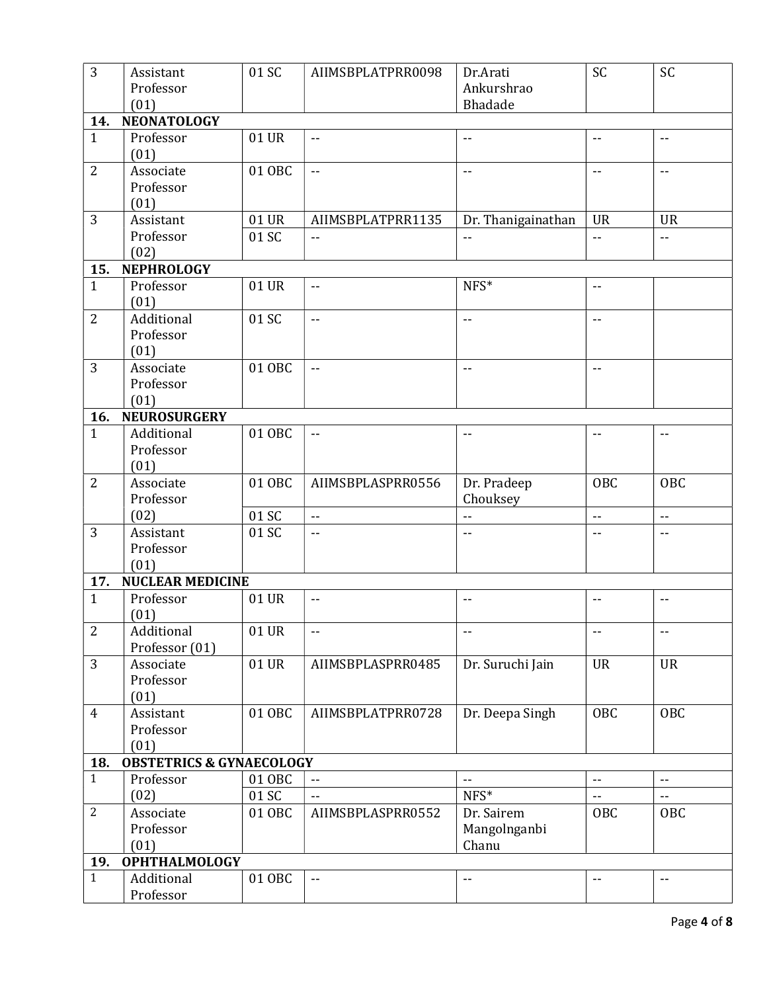| $\overline{3}$ | Assistant                                   | 01 SC  | AIIMSBPLATPRR0098                             | Dr.Arati                   | SC                                            | SC                         |
|----------------|---------------------------------------------|--------|-----------------------------------------------|----------------------------|-----------------------------------------------|----------------------------|
|                | Professor                                   |        |                                               | Ankurshrao                 |                                               |                            |
|                | (01)                                        |        |                                               | Bhadade                    |                                               |                            |
| 14.            | <b>NEONATOLOGY</b>                          |        |                                               |                            |                                               |                            |
| $\mathbf{1}$   | Professor<br>(01)                           | 01 UR  | $- -$                                         | $- -$                      | $\overline{\phantom{a}}$                      | $-$                        |
| $\overline{2}$ | Associate                                   | 01 OBC | $\mathord{\hspace{1pt}\text{--}\hspace{1pt}}$ | $\overline{\phantom{m}}$   | $\mathord{\hspace{1pt}\text{--}\hspace{1pt}}$ | $\overline{\phantom{a}}$   |
|                | Professor                                   |        |                                               |                            |                                               |                            |
|                | (01)                                        |        |                                               |                            |                                               |                            |
| 3              | Assistant                                   | 01 UR  | AIIMSBPLATPRR1135                             | Dr. Thanigainathan         | <b>UR</b>                                     | <b>UR</b>                  |
|                | Professor                                   | 01 SC  | $-$                                           | --                         | $\overline{\phantom{a}}$                      | $\overline{\phantom{a}}$   |
| 15.            | (02)<br><b>NEPHROLOGY</b>                   |        |                                               |                            |                                               |                            |
| $\mathbf{1}$   | Professor                                   | 01 UR  | $-$                                           | NFS*                       | $-$                                           |                            |
|                | (01)                                        |        |                                               |                            |                                               |                            |
| $\overline{2}$ | Additional                                  | 01 SC  | $- -$                                         | $\overline{\phantom{a}}$ . | $\overline{\phantom{a}}$ .                    |                            |
|                | Professor<br>(01)                           |        |                                               |                            |                                               |                            |
| 3              | Associate                                   | 01 OBC | $-1$                                          | $-1$                       | $-$                                           |                            |
|                | Professor                                   |        |                                               |                            |                                               |                            |
|                | (01)                                        |        |                                               |                            |                                               |                            |
| 16.            | <b>NEUROSURGERY</b>                         |        |                                               |                            |                                               |                            |
| $\mathbf{1}$   | Additional                                  | 01 OBC | $\overline{\phantom{a}}$                      | $\overline{\phantom{a}}$   | $\overline{\phantom{a}}$                      | $\overline{\phantom{a}}$   |
|                | Professor                                   |        |                                               |                            |                                               |                            |
| $\overline{2}$ | (01)<br>Associate                           | 01 OBC | AIIMSBPLASPRR0556                             |                            | <b>OBC</b>                                    | <b>OBC</b>                 |
|                | Professor                                   |        |                                               | Dr. Pradeep<br>Chouksey    |                                               |                            |
|                | (02)                                        | 01 SC  | $\overline{\phantom{a}}$                      | $\overline{a}$             | $\overline{\phantom{a}}$ .                    | $\mathbb{Z}^2$             |
| 3              | Assistant                                   | 01 SC  | $- -$                                         | $-$                        | $-$                                           | $-$                        |
|                | Professor                                   |        |                                               |                            |                                               |                            |
|                | (01)                                        |        |                                               |                            |                                               |                            |
| 17.            | <b>NUCLEAR MEDICINE</b>                     |        |                                               |                            |                                               |                            |
| $\mathbf{1}$   | Professor                                   | 01 UR  | $-$                                           | --                         | $\overline{\phantom{a}}$                      | $\overline{\phantom{a}}$ . |
|                | (01)                                        |        |                                               |                            |                                               |                            |
| $\overline{2}$ | Additional                                  | 01 UR  | $-$                                           | --                         | --                                            | $\overline{\phantom{a}}$   |
|                | Professor (01)                              |        |                                               |                            |                                               |                            |
| 3              | Associate                                   | 01 UR  | AIIMSBPLASPRR0485                             | Dr. Suruchi Jain           | <b>UR</b>                                     | <b>UR</b>                  |
|                | Professor                                   |        |                                               |                            |                                               |                            |
|                | (01)                                        |        |                                               |                            |                                               |                            |
| 4              | Assistant                                   | 01 OBC | AIIMSBPLATPRR0728                             | Dr. Deepa Singh            | <b>OBC</b>                                    | <b>OBC</b>                 |
|                | Professor                                   |        |                                               |                            |                                               |                            |
| 18.            | (01)<br><b>OBSTETRICS &amp; GYNAECOLOGY</b> |        |                                               |                            |                                               |                            |
| $\mathbf{1}$   | Professor                                   | 01 OBC | $\overline{\phantom{a}}$                      | $\overline{\phantom{a}}$ . | $\mathord{\hspace{1pt}\text{--}\hspace{1pt}}$ | $\overline{\phantom{a}}$   |
|                | (02)                                        | 01 SC  | $-$                                           | NFS*                       | $\overline{a}$                                | $\overline{a}$             |
| $\overline{2}$ | Associate                                   | 01 OBC | AIIMSBPLASPRR0552                             | Dr. Sairem                 | OBC                                           | OBC                        |
|                | Professor                                   |        |                                               | Mangolnganbi               |                                               |                            |
|                | (01)                                        |        |                                               | Chanu                      |                                               |                            |
| 19.            | <b>OPHTHALMOLOGY</b>                        |        |                                               |                            |                                               |                            |
| $\mathbf{1}$   | Additional                                  | 01 OBC | $\overline{\phantom{a}}$ .                    | --                         | --                                            | $\overline{\phantom{a}}$   |
|                | Professor                                   |        |                                               |                            |                                               |                            |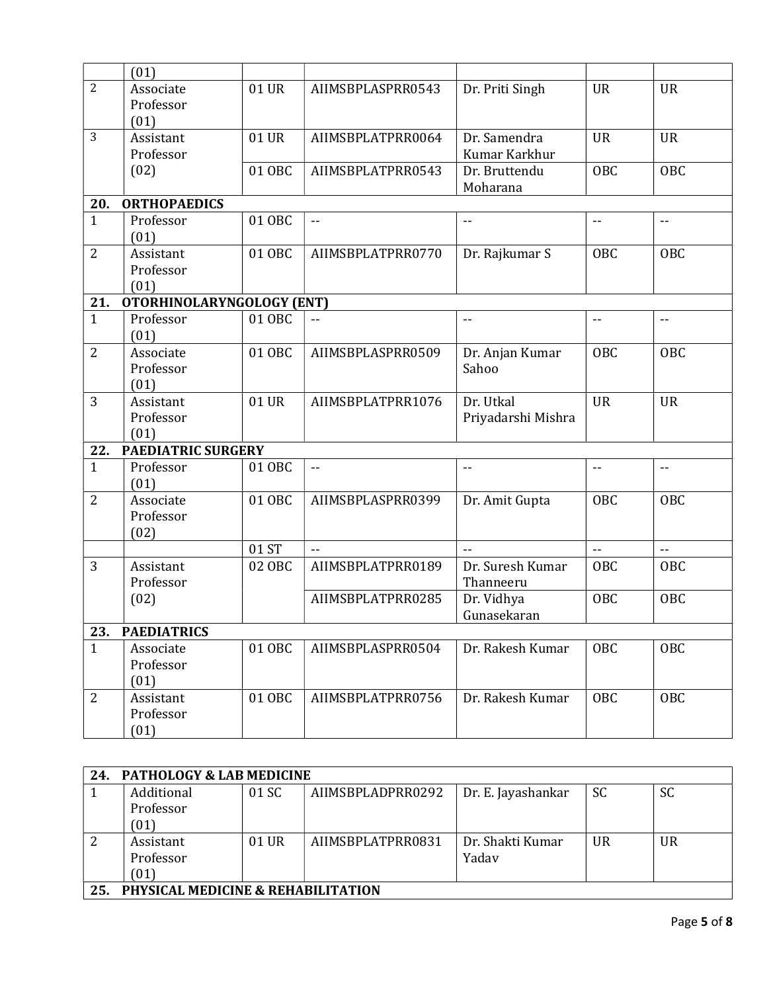|                | (01)                      |        |                            |                    |                |                          |
|----------------|---------------------------|--------|----------------------------|--------------------|----------------|--------------------------|
| $\overline{2}$ | Associate                 | 01 UR  | AIIMSBPLASPRR0543          | Dr. Priti Singh    | <b>UR</b>      | <b>UR</b>                |
|                | Professor                 |        |                            |                    |                |                          |
|                | (01)                      |        |                            |                    |                |                          |
| 3              | Assistant                 | 01 UR  | AIIMSBPLATPRR0064          | Dr. Samendra       | <b>UR</b>      | <b>UR</b>                |
|                | Professor                 |        |                            | Kumar Karkhur      |                |                          |
|                | (02)                      | 01 OBC | AIIMSBPLATPRR0543          | Dr. Bruttendu      | OBC            | OBC                      |
|                |                           |        |                            | Moharana           |                |                          |
| 20.            | <b>ORTHOPAEDICS</b>       |        |                            |                    |                |                          |
| $\mathbf{1}$   | Professor                 | 01 OBC | $\overline{\phantom{a}}$ . | $-$                | $\overline{a}$ | $\mathbb{L} \mathbb{L}$  |
|                | (01)                      |        |                            |                    |                |                          |
| $\overline{2}$ | Assistant                 | 01 OBC | AIIMSBPLATPRR0770          | Dr. Rajkumar S     | OBC            | OBC                      |
|                | Professor                 |        |                            |                    |                |                          |
|                | (01)                      |        |                            |                    |                |                          |
| 21.            | OTORHINOLARYNGOLOGY (ENT) |        |                            |                    |                |                          |
| $\mathbf{1}$   | Professor                 | 01 OBC | $-1$                       | $\overline{a}$     | $\overline{a}$ | $\overline{\phantom{a}}$ |
|                | (01)                      |        |                            |                    |                |                          |
| $\overline{2}$ | Associate                 | 01 OBC | AIIMSBPLASPRR0509          | Dr. Anjan Kumar    | OBC            | OBC                      |
|                | Professor                 |        |                            | Sahoo              |                |                          |
|                | (01)                      |        |                            |                    |                |                          |
| 3              | Assistant                 | 01 UR  | AIIMSBPLATPRR1076          | Dr. Utkal          | <b>UR</b>      | <b>UR</b>                |
|                | Professor                 |        |                            | Priyadarshi Mishra |                |                          |
|                | (01)                      |        |                            |                    |                |                          |
| 22.            | <b>PAEDIATRIC SURGERY</b> |        |                            |                    |                |                          |
| $\mathbf{1}$   | Professor                 | 01 OBC | --                         | $- -$              | --             | $\overline{\phantom{m}}$ |
|                | (01)                      |        |                            |                    |                |                          |
| $\overline{2}$ | Associate                 | 01 OBC | AIIMSBPLASPRR0399          | Dr. Amit Gupta     | OBC            | OBC                      |
|                | Professor                 |        |                            |                    |                |                          |
|                | (02)                      |        |                            |                    |                |                          |
|                |                           | 01 ST  | $\sim$ $\sim$              | $\sim$ $\sim$      | 44             | $-1$                     |
| 3              | Assistant                 | 02 OBC | AIIMSBPLATPRR0189          | Dr. Suresh Kumar   | OBC            | OBC                      |
|                | Professor                 |        |                            | Thanneeru          |                |                          |
|                | (02)                      |        | AIIMSBPLATPRR0285          | Dr. Vidhya         | <b>OBC</b>     | <b>OBC</b>               |
|                |                           |        |                            | Gunasekaran        |                |                          |
| 23.            | <b>PAEDIATRICS</b>        |        |                            |                    |                |                          |
| $\mathbf{1}$   | Associate                 | 01 OBC | AIIMSBPLASPRR0504          | Dr. Rakesh Kumar   | OBC            | OBC                      |
|                | Professor                 |        |                            |                    |                |                          |
|                | (01)                      |        |                            |                    |                |                          |
| $\overline{2}$ | Assistant                 | 01 OBC | AIIMSBPLATPRR0756          | Dr. Rakesh Kumar   | OBC            | <b>OBC</b>               |
|                | Professor                 |        |                            |                    |                |                          |
|                | (01)                      |        |                            |                    |                |                          |

| 24. | <b>PATHOLOGY &amp; LAB MEDICINE</b>           |       |                   |                    |           |           |  |  |  |
|-----|-----------------------------------------------|-------|-------------------|--------------------|-----------|-----------|--|--|--|
|     | Additional                                    | 01 SC | AIIMSBPLADPRR0292 | Dr. E. Jayashankar | <b>SC</b> | <b>SC</b> |  |  |  |
|     | Professor                                     |       |                   |                    |           |           |  |  |  |
|     | (01)                                          |       |                   |                    |           |           |  |  |  |
|     | Assistant                                     | 01 UR | AIIMSBPLATPRR0831 | Dr. Shakti Kumar   | <b>UR</b> | UR.       |  |  |  |
|     | Professor                                     |       |                   | Yadav              |           |           |  |  |  |
|     | (01)                                          |       |                   |                    |           |           |  |  |  |
| 25  | <b>PHYSICAL MEDICINE &amp; REHABILITATION</b> |       |                   |                    |           |           |  |  |  |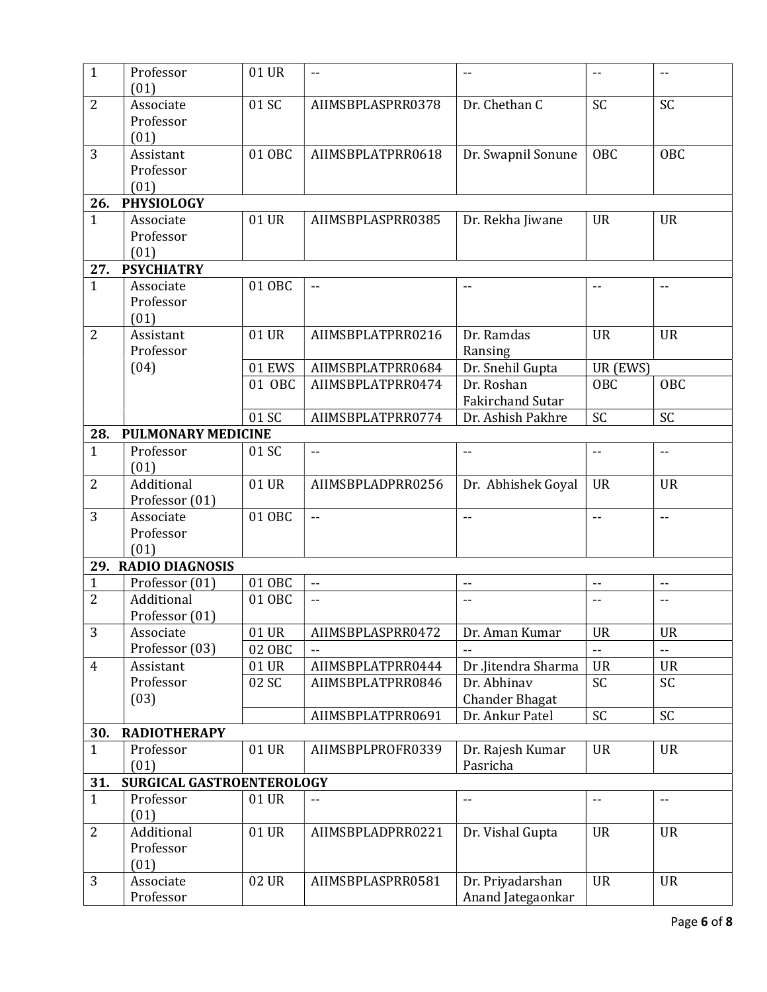| $\mathbf{1}$   | Professor                 | 01 UR  | $\overline{\phantom{a}}$ | --                    | $\overline{\phantom{a}}$   | $\overline{\phantom{a}}$ . |
|----------------|---------------------------|--------|--------------------------|-----------------------|----------------------------|----------------------------|
|                | (01)                      |        |                          |                       |                            |                            |
| $\overline{2}$ | Associate                 | 01 SC  | AIIMSBPLASPRR0378        | Dr. Chethan C         | SC                         | <b>SC</b>                  |
|                | Professor                 |        |                          |                       |                            |                            |
|                | (01)                      |        |                          |                       |                            |                            |
| 3              | Assistant                 | 01 OBC | AIIMSBPLATPRR0618        | Dr. Swapnil Sonune    | <b>OBC</b>                 | OBC                        |
|                | Professor                 |        |                          |                       |                            |                            |
|                | (01)                      |        |                          |                       |                            |                            |
| 26.            | <b>PHYSIOLOGY</b>         |        |                          |                       |                            |                            |
| $\mathbf{1}$   | Associate                 | 01 UR  | AIIMSBPLASPRR0385        | Dr. Rekha Jiwane      | <b>UR</b>                  | <b>UR</b>                  |
|                | Professor                 |        |                          |                       |                            |                            |
|                | (01)                      |        |                          |                       |                            |                            |
| 27.            | <b>PSYCHIATRY</b>         |        |                          |                       |                            |                            |
| $\mathbf{1}$   | Associate                 | 01 OBC | $-$                      | $-$                   |                            | $-$                        |
|                | Professor                 |        |                          |                       |                            |                            |
| $\overline{2}$ | (01)<br>Assistant         | 01 UR  | AIIMSBPLATPRR0216        | Dr. Ramdas            | <b>UR</b>                  | <b>UR</b>                  |
|                | Professor                 |        |                          | Ransing               |                            |                            |
|                | (04)                      | 01 EWS | AIIMSBPLATPRR0684        | Dr. Snehil Gupta      | UR (EWS)                   |                            |
|                |                           | 01 OBC | AIIMSBPLATPRR0474        | Dr. Roshan            | OBC                        | <b>OBC</b>                 |
|                |                           |        |                          | Fakirchand Sutar      |                            |                            |
|                |                           | 01 SC  | AIIMSBPLATPRR0774        | Dr. Ashish Pakhre     | SC                         | SC                         |
| 28.            | <b>PULMONARY MEDICINE</b> |        |                          |                       |                            |                            |
| $\mathbf{1}$   | Professor                 | 01 SC  | $-$                      | --                    | $- -$                      | --                         |
|                | (01)                      |        |                          |                       |                            |                            |
| $\overline{2}$ | Additional                | 01 UR  | AIIMSBPLADPRR0256        | Dr. Abhishek Goyal    | <b>UR</b>                  | <b>UR</b>                  |
|                | Professor (01)            |        |                          |                       |                            |                            |
| 3              | Associate                 | 01 OBC | $\mathbf{L}$             | $-$                   | $\overline{\phantom{a}}$   | $\overline{\phantom{a}}$ . |
|                | Professor                 |        |                          |                       |                            |                            |
|                | (01)                      |        |                          |                       |                            |                            |
|                | 29. RADIO DIAGNOSIS       |        |                          |                       |                            |                            |
| 1              | Professor (01)            | 01 OBC | $\overline{\phantom{a}}$ | $-$                   | $\overline{\phantom{a}}$ . | $\overline{\phantom{a}}$   |
| $\overline{2}$ | Additional                | 01 OBC | $-$                      | --                    | --                         | --                         |
|                | Professor (01)            |        |                          |                       |                            |                            |
| 3              | Associate                 | 01 UR  | AIIMSBPLASPRR0472        | Dr. Aman Kumar        | <b>UR</b>                  | <b>UR</b>                  |
|                | Professor (03)            | 02 OBC |                          |                       |                            |                            |
| $\overline{4}$ | Assistant                 | 01 UR  | AIIMSBPLATPRR0444        | Dr.Jitendra Sharma    | <b>UR</b>                  | <b>UR</b>                  |
|                | Professor                 | 02 SC  | AIIMSBPLATPRR0846        | Dr. Abhinav           | SC                         | <b>SC</b>                  |
|                | (03)                      |        |                          | <b>Chander Bhagat</b> |                            |                            |
|                |                           |        | AIIMSBPLATPRR0691        | Dr. Ankur Patel       | $\overline{SC}$            | SC                         |
| 30.            | <b>RADIOTHERAPY</b>       |        |                          |                       |                            |                            |
| $\mathbf{1}$   | Professor                 | 01 UR  | AIIMSBPLPROFR0339        | Dr. Rajesh Kumar      | <b>UR</b>                  | <b>UR</b>                  |
|                | (01)                      |        |                          | Pasricha              |                            |                            |
| 31.            | SURGICAL GASTROENTEROLOGY |        |                          |                       |                            |                            |
| $\mathbf{1}$   | Professor                 | 01 UR  | --                       | $-$                   | $\overline{\phantom{a}}$   | $\overline{\phantom{a}}$ . |
|                | (01)                      |        |                          |                       |                            |                            |
| $\overline{2}$ | Additional                | 01 UR  | AIIMSBPLADPRR0221        | Dr. Vishal Gupta      | <b>UR</b>                  | <b>UR</b>                  |
|                | Professor                 |        |                          |                       |                            |                            |
|                | (01)                      |        |                          |                       |                            |                            |
| 3              | Associate                 | 02 UR  | AIIMSBPLASPRR0581        | Dr. Priyadarshan      | <b>UR</b>                  | <b>UR</b>                  |
|                | Professor                 |        |                          | Anand Jategaonkar     |                            |                            |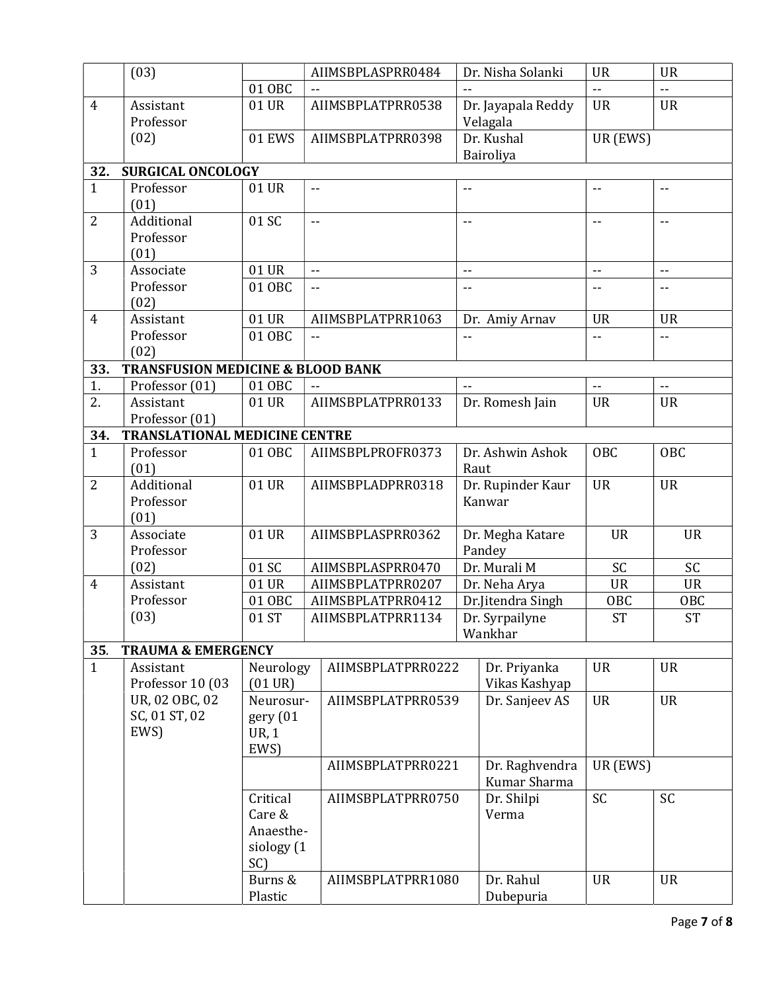|                | (03)                                         |                                | AIIMSBPLASPRR0484 | Dr. Nisha Solanki              | <b>UR</b>                | <b>UR</b>                                     |  |  |  |
|----------------|----------------------------------------------|--------------------------------|-------------------|--------------------------------|--------------------------|-----------------------------------------------|--|--|--|
|                |                                              | 01 OBC                         |                   |                                | $\mathbb{Z}^2$           | $\mathbb{L}^{\mathbb{L}}$                     |  |  |  |
| $\overline{4}$ | Assistant<br>Professor                       | 01 UR                          | AIIMSBPLATPRR0538 | Dr. Jayapala Reddy<br>Velagala | <b>UR</b>                | <b>UR</b>                                     |  |  |  |
|                | (02)                                         | 01 EWS                         | AIIMSBPLATPRR0398 | Dr. Kushal<br>Bairoliya        | UR (EWS)                 |                                               |  |  |  |
| 32.            | <b>SURGICAL ONCOLOGY</b>                     |                                |                   |                                |                          |                                               |  |  |  |
| $\mathbf{1}$   | Professor<br>(01)                            | 01 UR                          | $-$               | --                             | --                       | --                                            |  |  |  |
| $\overline{2}$ | Additional<br>Professor                      | 01 SC                          | $- -$             | $-$                            | $-$                      | $-$                                           |  |  |  |
|                | (01)                                         |                                |                   |                                |                          |                                               |  |  |  |
| 3              | Associate                                    | 01 UR                          | $\overline{a}$    | $-$                            | $-$                      | $-$                                           |  |  |  |
|                | Professor                                    | 01 OBC                         | $\overline{a}$    | $-1$                           | $-$                      | $\overline{\phantom{a}}$ .                    |  |  |  |
|                | (02)                                         |                                |                   |                                |                          |                                               |  |  |  |
| $\overline{4}$ | Assistant                                    | 01 UR                          | AIIMSBPLATPRR1063 | Dr. Amiy Arnav                 | <b>UR</b>                | <b>UR</b>                                     |  |  |  |
|                | Professor                                    | 01 OBC                         | $\sim$ $\sim$     | $-$                            | $-$                      | $\mathord{\hspace{1pt}\text{--}\hspace{1pt}}$ |  |  |  |
|                | (02)                                         |                                |                   |                                |                          |                                               |  |  |  |
| 33.            | <b>TRANSFUSION MEDICINE &amp; BLOOD BANK</b> |                                |                   |                                |                          |                                               |  |  |  |
| 1.             | Professor (01)                               | 01 OBC                         |                   |                                | $\overline{\phantom{a}}$ | $\overline{\phantom{a}}$                      |  |  |  |
| 2.             | Assistant                                    | 01 UR                          | AIIMSBPLATPRR0133 | Dr. Romesh Jain                | <b>UR</b>                | <b>UR</b>                                     |  |  |  |
|                | Professor (01)                               |                                |                   |                                |                          |                                               |  |  |  |
| 34.            | <b>TRANSLATIONAL MEDICINE CENTRE</b>         |                                |                   |                                |                          |                                               |  |  |  |
| $\overline{1}$ | Professor<br>(01)                            | 01 OBC                         | AIIMSBPLPROFR0373 | Dr. Ashwin Ashok<br>Raut       | <b>OBC</b>               | <b>OBC</b>                                    |  |  |  |
| $\overline{2}$ | Additional                                   | 01 UR                          | AIIMSBPLADPRR0318 | Dr. Rupinder Kaur              | <b>UR</b>                | <b>UR</b>                                     |  |  |  |
|                | Professor                                    |                                |                   | Kanwar                         |                          |                                               |  |  |  |
|                | (01)                                         |                                |                   |                                |                          |                                               |  |  |  |
| 3              | Associate<br>Professor                       | 01 UR                          | AIIMSBPLASPRR0362 | Dr. Megha Katare<br>Pandey     | <b>UR</b>                | <b>UR</b>                                     |  |  |  |
|                | (02)                                         | 01 SC                          | AIIMSBPLASPRR0470 | Dr. Murali M                   | SC                       | <b>SC</b>                                     |  |  |  |
| $\overline{4}$ | Assistant                                    | 01 UR                          | AIIMSBPLATPRR0207 | Dr. Neha Arya                  | <b>UR</b>                | <b>UR</b>                                     |  |  |  |
|                | Professor                                    | 01 OBC                         | AIIMSBPLATPRR0412 | Dr.Jitendra Singh              | <b>OBC</b>               | <b>OBC</b>                                    |  |  |  |
|                | (03)                                         | 01 ST                          | AIIMSBPLATPRR1134 | Dr. Syrpailyne                 | <b>ST</b>                | $\overline{\text{ST}}$                        |  |  |  |
|                |                                              |                                |                   | Wankhar                        |                          |                                               |  |  |  |
| 35.            | <b>TRAUMA &amp; EMERGENCY</b>                |                                |                   |                                |                          |                                               |  |  |  |
| $\mathbf{1}$   | Assistant<br>Professor 10 (03                | Neurology<br>$(01 \text{ UR})$ | AIIMSBPLATPRR0222 | Dr. Priyanka<br>Vikas Kashyap  | <b>UR</b>                | <b>UR</b>                                     |  |  |  |
|                | UR, 02 OBC, 02                               | Neurosur-                      | AIIMSBPLATPRR0539 | Dr. Sanjeev AS                 | <b>UR</b>                | <b>UR</b>                                     |  |  |  |
|                | SC, 01 ST, 02                                | gery (01                       |                   |                                |                          |                                               |  |  |  |
|                | EWS)                                         | UR, 1                          |                   |                                |                          |                                               |  |  |  |
|                |                                              | EWS)                           |                   |                                |                          |                                               |  |  |  |
|                |                                              |                                | AIIMSBPLATPRR0221 | Dr. Raghvendra                 | UR (EWS)                 |                                               |  |  |  |
|                |                                              |                                |                   | Kumar Sharma                   |                          |                                               |  |  |  |
|                |                                              | Critical                       | AIIMSBPLATPRR0750 | Dr. Shilpi                     | SC                       | <b>SC</b>                                     |  |  |  |
|                |                                              | Care &                         |                   | Verma                          |                          |                                               |  |  |  |
|                |                                              | Anaesthe-                      |                   |                                |                          |                                               |  |  |  |
|                |                                              | siology (1                     |                   |                                |                          |                                               |  |  |  |
|                |                                              | SC)                            |                   |                                |                          |                                               |  |  |  |
|                |                                              | Burns &                        | AIIMSBPLATPRR1080 | Dr. Rahul                      | <b>UR</b>                | <b>UR</b>                                     |  |  |  |
|                |                                              | Plastic                        |                   | Dubepuria                      |                          |                                               |  |  |  |